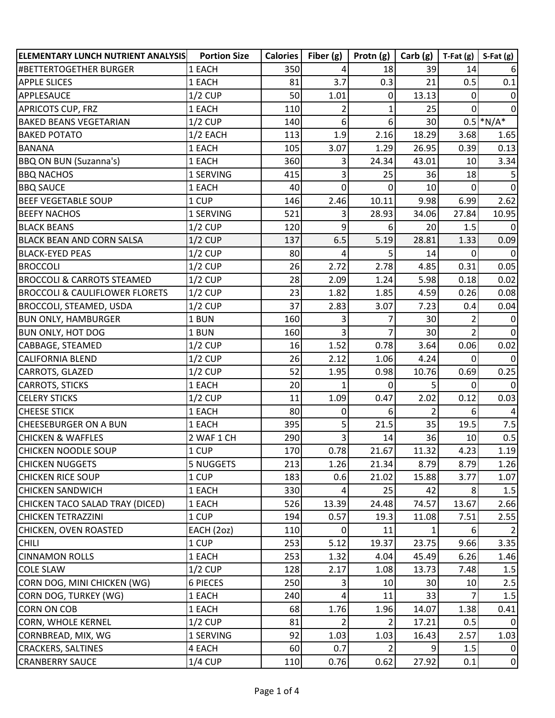| ELEMENTARY LUNCH NUTRIENT ANALYSIS        | <b>Portion Size</b> | Calories | Fiber $(g)$ | Protn (g)      | Carb(g)         | $T-Fat(g)$ | $S-Fat(g)$     |
|-------------------------------------------|---------------------|----------|-------------|----------------|-----------------|------------|----------------|
| #BETTERTOGETHER BURGER                    | 1 EACH              | 350      | 4           | 18             | 39              | 14         | 6              |
| <b>APPLE SLICES</b>                       | 1 EACH              | 81       | 3.7         | 0.3            | 21              | 0.5        | 0.1            |
| APPLESAUCE                                | $1/2$ CUP           | 50       | 1.01        | 0              | 13.13           | 0          | $\overline{0}$ |
| <b>APRICOTS CUP, FRZ</b>                  | 1 EACH              | 110      | 2           | 1              | 25              |            | $\overline{0}$ |
| <b>BAKED BEANS VEGETARIAN</b>             | $1/2$ CUP           | 140      | 6           | $6 \mid$       | 30 <sup>°</sup> |            | $0.5$ *N/A*    |
| <b>BAKED POTATO</b>                       | $1/2$ EACH          | 113      | 1.9         | 2.16           | 18.29           | 3.68       | 1.65           |
| <b>BANANA</b>                             | 1 EACH              | 105      | 3.07        | 1.29           | 26.95           | 0.39       | 0.13           |
| <b>BBQ ON BUN (Suzanna's)</b>             | 1 EACH              | 360      | 3           | 24.34          | 43.01           | 10         | 3.34           |
| <b>BBQ NACHOS</b>                         | 1 SERVING           | 415      | 3           | 25             | 36              | 18         |                |
| <b>BBQ SAUCE</b>                          | 1 EACH              | 40       | $\mathbf 0$ | $\mathbf 0$    | 10              | 0          | $\overline{0}$ |
| <b>BEEF VEGETABLE SOUP</b>                | 1 CUP               | 146      | 2.46        | 10.11          | 9.98            | 6.99       | 2.62           |
| <b>BEEFY NACHOS</b>                       | 1 SERVING           | 521      | 3           | 28.93          | 34.06           | 27.84      | 10.95          |
| <b>BLACK BEANS</b>                        | $1/2$ CUP           | 120      | 9           | $6 \mid$       | 20              | 1.5        | $\Omega$       |
| <b>BLACK BEAN AND CORN SALSA</b>          | $1/2$ CUP           | 137      | 6.5         | 5.19           | 28.81           | 1.33       | 0.09           |
| <b>BLACK-EYED PEAS</b>                    | $1/2$ CUP           | 80       | 4           | 5 <sup>1</sup> | 14              | $\Omega$   | $\overline{0}$ |
| <b>BROCCOLI</b>                           | $1/2$ CUP           | 26       | 2.72        | 2.78           | 4.85            | 0.31       | 0.05           |
| <b>BROCCOLI &amp; CARROTS STEAMED</b>     | $1/2$ CUP           | 28       | 2.09        | 1.24           | 5.98            | 0.18       | 0.02           |
| <b>BROCCOLI &amp; CAULIFLOWER FLORETS</b> | $1/2$ CUP           | 23       | 1.82        | 1.85           | 4.59            | 0.26       | 0.08           |
| <b>BROCCOLI, STEAMED, USDA</b>            | $1/2$ CUP           | 37       | 2.83        | 3.07           | 7.23            | 0.4        | 0.04           |
| <b>BUN ONLY, HAMBURGER</b>                | 1 BUN               | 160      | 3           |                | 30              |            | 0              |
| <b>BUN ONLY, HOT DOG</b>                  | 1 BUN               | 160      | 3           |                | 30              |            | $\Omega$       |
| CABBAGE, STEAMED                          | $1/2$ CUP           | 16       | 1.52        | 0.78           | 3.64            | 0.06       | 0.02           |
| <b>CALIFORNIA BLEND</b>                   | $1/2$ CUP           | 26       | 2.12        | 1.06           | 4.24            | 0          | $\Omega$       |
| CARROTS, GLAZED                           | $1/2$ CUP           | 52       | 1.95        | 0.98           | 10.76           | 0.69       | 0.25           |
| <b>CARROTS, STICKS</b>                    | 1 EACH              | 20       | 1           | 0              | 5               | 0          | $\Omega$       |
| <b>CELERY STICKS</b>                      | $1/2$ CUP           | 11       | 1.09        | 0.47           | 2.02            | 0.12       | 0.03           |
| <b>CHEESE STICK</b>                       | 1 EACH              | 80       | 0           | 6              | $\overline{2}$  | $6 \mid$   | $\overline{4}$ |
| <b>CHEESEBURGER ON A BUN</b>              | 1 EACH              | 395      | 5           | 21.5           | 35              | 19.5       | 7.5            |
| <b>CHICKEN &amp; WAFFLES</b>              | 2 WAF 1 CH          | 290      | 3           | 14             | 36              | 10         | 0.5            |
| <b>CHICKEN NOODLE SOUP</b>                | 1 CUP               | 170      | 0.78        | 21.67          | 11.32           | 4.23       | 1.19           |
| <b>CHICKEN NUGGETS</b>                    | <b>5 NUGGETS</b>    | 213      | 1.26        | 21.34          | 8.79            | 8.79       | 1.26           |
| <b>CHICKEN RICE SOUP</b>                  | 1 CUP               | 183      | 0.6         | 21.02          | 15.88           | 3.77       | 1.07           |
| <b>CHICKEN SANDWICH</b>                   | 1 EACH              | 330      | 4           | 25             | 42              | 8          | 1.5            |
| CHICKEN TACO SALAD TRAY (DICED)           | 1 EACH              | 526      | 13.39       | 24.48          | 74.57           | 13.67      | 2.66           |
| <b>CHICKEN TETRAZZINI</b>                 | 1 CUP               | 194      | 0.57        | 19.3           | 11.08           | 7.51       | 2.55           |
| CHICKEN, OVEN ROASTED                     | EACH (2oz)          | 110      | 0           | 11             |                 | 6          | $\overline{2}$ |
| <b>CHILI</b>                              | 1 CUP               | 253      | 5.12        | 19.37          | 23.75           | 9.66       | 3.35           |
| <b>CINNAMON ROLLS</b>                     | 1 EACH              | 253      | 1.32        | 4.04           | 45.49           | 6.26       | 1.46           |
| <b>COLE SLAW</b>                          | $1/2$ CUP           | 128      | 2.17        | 1.08           | 13.73           | 7.48       | 1.5            |
| CORN DOG, MINI CHICKEN (WG)               | 6 PIECES            | 250      | 3           | 10             | 30 <sup>°</sup> | 10         | 2.5            |
| CORN DOG, TURKEY (WG)                     | 1 EACH              | 240      | 4           | 11             | 33              |            | 1.5            |
| <b>CORN ON COB</b>                        | 1 EACH              | 68       | 1.76        | 1.96           | 14.07           | 1.38       | 0.41           |
| CORN, WHOLE KERNEL                        | $1/2$ CUP           | 81       | 2           | 2              | 17.21           | 0.5        | 0              |
| CORNBREAD, MIX, WG                        | 1 SERVING           | 92       | 1.03        | 1.03           | 16.43           | 2.57       | 1.03           |
| <b>CRACKERS, SALTINES</b>                 | 4 EACH              | 60       | 0.7         | 2              | 9               | 1.5        | ΟI             |
| <b>CRANBERRY SAUCE</b>                    | $1/4$ CUP           | 110      | 0.76        | 0.62           | 27.92           | 0.1        | $\overline{0}$ |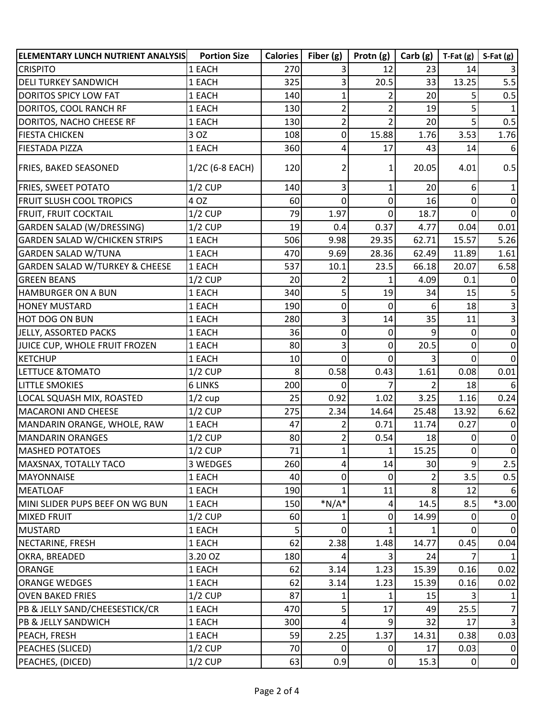| <b>ELEMENTARY LUNCH NUTRIENT ANALYSIS</b> | <b>Portion Size</b> | <b>Calories</b> | Fiber $(g)$    | Protn $(g)$    | Carb(g)        | $T-Fat(g)$     | $S-Fat(g)$     |
|-------------------------------------------|---------------------|-----------------|----------------|----------------|----------------|----------------|----------------|
| <b>CRISPITO</b>                           | 1 EACH              | 270             | 3              | 12             | 23             | 14             |                |
| <b>DELI TURKEY SANDWICH</b>               | 1 EACH              | 325             | 3              | 20.5           | 33             | 13.25          | 5.5            |
| <b>DORITOS SPICY LOW FAT</b>              | 1 EACH              | 140             | 1              | $\overline{2}$ | 20             | 5              | 0.5            |
| DORITOS, COOL RANCH RF                    | 1 EACH              | 130             | $\overline{2}$ | $\overline{2}$ | 19             | 5              |                |
| DORITOS, NACHO CHEESE RF                  | 1 EACH              | 130             | $\overline{2}$ | $\overline{2}$ | 20             | 5              | 0.5            |
| <b>FIESTA CHICKEN</b>                     | 3 OZ                | 108             | $\mathbf 0$    | 15.88          | 1.76           | 3.53           | 1.76           |
| <b>FIESTADA PIZZA</b>                     | 1 EACH              | 360             | 4              | 17             | 43             | 14             | 6              |
| <b>FRIES, BAKED SEASONED</b>              | 1/2C (6-8 EACH)     | 120             |                | 1              | 20.05          | 4.01           | 0.5            |
| <b>FRIES, SWEET POTATO</b>                | $1/2$ CUP           | 140             | 3              | 1              | 20             | 6              | 1              |
| <b>FRUIT SLUSH COOL TROPICS</b>           | 4 OZ                | 60              | 0              | $\overline{0}$ | 16             | 0              | $\overline{0}$ |
| FRUIT, FRUIT COCKTAIL                     | $1/2$ CUP           | 79              | 1.97           | 0              | 18.7           | 0              | $\overline{0}$ |
| <b>GARDEN SALAD (W/DRESSING)</b>          | $1/2$ CUP           | 19              | 0.4            | 0.37           | 4.77           | 0.04           | 0.01           |
| <b>GARDEN SALAD W/CHICKEN STRIPS</b>      | 1 EACH              | 506             | 9.98           | 29.35          | 62.71          | 15.57          | 5.26           |
| <b>GARDEN SALAD W/TUNA</b>                | 1 EACH              | 470             | 9.69           | 28.36          | 62.49          | 11.89          | 1.61           |
| <b>GARDEN SALAD W/TURKEY &amp; CHEESE</b> | 1 EACH              | 537             | 10.1           | 23.5           | 66.18          | 20.07          | 6.58           |
| <b>GREEN BEANS</b>                        | $1/2$ CUP           | 20              | $\overline{2}$ | 1              | 4.09           | 0.1            | $\overline{0}$ |
| <b>HAMBURGER ON A BUN</b>                 | 1 EACH              | 340             | 5              | 19             | 34             | 15             | 5              |
| <b>HONEY MUSTARD</b>                      | 1 EACH              | 190             | 0              | $\Omega$       | $6 \mid$       | 18             | 3              |
| <b>HOT DOG ON BUN</b>                     | 1 EACH              | 280             | 3              | 14             | 35             | 11             | 3              |
| JELLY, ASSORTED PACKS                     | 1 EACH              | 36              | 0              | 0              | 9              | 0              | $\mathbf 0$    |
| JUICE CUP, WHOLE FRUIT FROZEN             | 1 EACH              | 80              | 3              | $\mathbf 0$    | 20.5           | 0              | $\mathbf 0$    |
| <b>KETCHUP</b>                            | 1 EACH              | 10              | $\mathbf 0$    | $\mathbf 0$    |                | 0              | $\Omega$       |
| LETTUCE & TOMATO                          | $1/2$ CUP           | 8               | 0.58           | 0.43           | 1.61           | 0.08           | 0.01           |
| <b>LITTLE SMOKIES</b>                     | <b>6 LINKS</b>      | 200             | 0              | 7              | 2              | 18             | 6              |
| LOCAL SQUASH MIX, ROASTED                 | $1/2$ cup           | 25              | 0.92           | 1.02           | 3.25           | 1.16           | 0.24           |
| <b>MACARONI AND CHEESE</b>                | $1/2$ CUP           | 275             | 2.34           | 14.64          | 25.48          | 13.92          | 6.62           |
| MANDARIN ORANGE, WHOLE, RAW               | 1 EACH              | 47              | 2              | 0.71           | 11.74          | 0.27           | 0              |
| <b>MANDARIN ORANGES</b>                   | $1/2$ CUP           | 80              | $\overline{2}$ | 0.54           | 18             | <sup>0</sup>   | $\overline{0}$ |
| <b>MASHED POTATOES</b>                    | $1/2$ CUP           | 71              | $\mathbf{1}$   | 1              | 15.25          | $\overline{0}$ | $\overline{0}$ |
| <b>MAXSNAX, TOTALLY TACO</b>              | 3 WEDGES            | 260             | 4              | 14             | 30             | $\overline{9}$ | 2.5            |
| <b>MAYONNAISE</b>                         | 1 EACH              | 40              | 0              | 0              |                | 3.5            | 0.5            |
| MEATLOAF                                  | 1 EACH              | 190             |                | 11             | 8 <sup>1</sup> | 12             | 6              |
| MINI SLIDER PUPS BEEF ON WG BUN           | 1 EACH              | 150             | $*N/A*$        | 4              | 14.5           | 8.5            | $*3.00$        |
| <b>MIXED FRUIT</b>                        | $1/2$ CUP           | 60              |                | 0              | 14.99          | 0              | 0              |
| <b>MUSTARD</b>                            | 1 EACH              |                 | $\mathbf 0$    | 1              |                | 0              | $\overline{0}$ |
| NECTARINE, FRESH                          | 1 EACH              | 62              | 2.38           | 1.48           | 14.77          | 0.45           | 0.04           |
| OKRA, BREADED                             | 3.20 OZ             | 180             | 4              | $\vert$ 3      | 24             |                | 1 <sup>1</sup> |
| ORANGE                                    | 1 EACH              | 62              | 3.14           | 1.23           | 15.39          | 0.16           | 0.02           |
| <b>ORANGE WEDGES</b>                      | 1 EACH              | 62              | 3.14           | 1.23           | 15.39          | 0.16           | 0.02           |
| <b>OVEN BAKED FRIES</b>                   | $1/2$ CUP           | 87              |                | 1              | 15             |                | 1 <sup>1</sup> |
| PB & JELLY SAND/CHEESESTICK/CR            | 1 EACH              | 470             | 5              | 17             | 49             | 25.5           | 7              |
| PB & JELLY SANDWICH                       | 1 EACH              | 300             | 4              | 9              | 32             | 17             | $\overline{3}$ |
| PEACH, FRESH                              | 1 EACH              | 59              | 2.25           | 1.37           | 14.31          | 0.38           | 0.03           |
| PEACHES (SLICED)                          | $1/2$ CUP           | 70              | 0              | $\overline{0}$ | 17             | 0.03           | $\overline{0}$ |
| PEACHES, (DICED)                          | $1/2$ CUP           | 63              | 0.9            | $\overline{0}$ | 15.3           | 0              | $\overline{0}$ |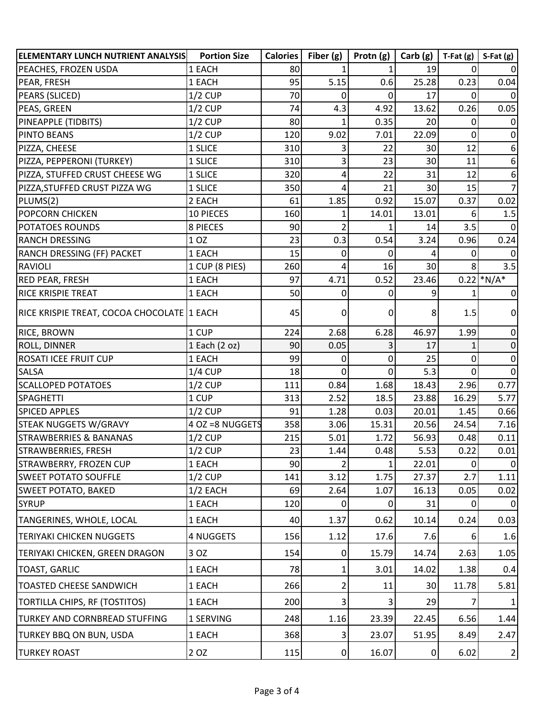| <b>ELEMENTARY LUNCH NUTRIENT ANALYSIS</b>   | <b>Portion Size</b> | <b>Calories</b> | Fiber $(g)$    | Protn $(g)$    | Carb(g)         | $T-Fat(g)$ | $S-Fat(g)$     |
|---------------------------------------------|---------------------|-----------------|----------------|----------------|-----------------|------------|----------------|
| PEACHES, FROZEN USDA                        | 1 EACH              | 80              | 1              | 1              | 19              | 0          |                |
| PEAR, FRESH                                 | 1 EACH              | 95              | 5.15           | 0.6            | 25.28           | 0.23       | 0.04           |
| PEARS (SLICED)                              | $1/2$ CUP           | 70              | 0              | $\overline{0}$ | 17              | $\Omega$   | $\Omega$       |
| PEAS, GREEN                                 | $1/2$ CUP           | 74              | 4.3            | 4.92           | 13.62           | 0.26       | 0.05           |
| PINEAPPLE (TIDBITS)                         | $1/2$ CUP           | 80              | 1              | 0.35           | 20              | 0          | $\overline{0}$ |
| <b>PINTO BEANS</b>                          | $1/2$ CUP           | 120             | 9.02           | 7.01           | 22.09           | 0          | $\overline{0}$ |
| PIZZA, CHEESE                               | 1 SLICE             | 310             | 3              | 22             | 30 <sup>2</sup> | 12         | 6              |
| PIZZA, PEPPERONI (TURKEY)                   | 1 SLICE             | 310             | 3              | 23             | 30              | 11         | 6              |
| PIZZA, STUFFED CRUST CHEESE WG              | 1 SLICE             | 320             | 4              | 22             | 31              | 12         | 6              |
| PIZZA, STUFFED CRUST PIZZA WG               | 1 SLICE             | 350             | 4              | 21             | 30              | 15         | $\overline{7}$ |
| PLUMS(2)                                    | 2 EACH              | 61              | 1.85           | 0.92           | 15.07           | 0.37       | 0.02           |
| <b>POPCORN CHICKEN</b>                      | 10 PIECES           | 160             | 1              | 14.01          | 13.01           | 6          | 1.5            |
| <b>POTATOES ROUNDS</b>                      | 8 PIECES            | 90              | $\overline{2}$ | 1              | 14              | 3.5        | $\Omega$       |
| <b>RANCH DRESSING</b>                       | 1 OZ                | 23              | 0.3            | 0.54           | 3.24            | 0.96       | 0.24           |
| RANCH DRESSING (FF) PACKET                  | 1 EACH              | 15              | 0              | 0              |                 | 0          | $\Omega$       |
| RAVIOLI                                     | 1 CUP (8 PIES)      | 260             | 4              | 16             | 30 <sup>2</sup> |            | 3.5            |
| <b>RED PEAR, FRESH</b>                      | 1 EACH              | 97              | 4.71           | 0.52           | 23.46           |            | $0.22$ *N/A*   |
| <b>RICE KRISPIE TREAT</b>                   | 1 EACH              | 50              | 0              | 0              |                 |            | $\overline{0}$ |
| RICE KRISPIE TREAT, COCOA CHOCOLATE  1 EACH |                     | 45              | 0              | $\overline{0}$ | 8               | 1.5        | $\overline{0}$ |
| <b>RICE, BROWN</b>                          | 1 CUP               | 224             | 2.68           | 6.28           | 46.97           | 1.99       | $\overline{0}$ |
| <b>ROLL, DINNER</b>                         | $1$ Each $(2$ oz)   | 90              | 0.05           | 3              | 17              | 1          | $\mathbf 0$    |
| <b>ROSATI ICEE FRUIT CUP</b>                | 1 EACH              | 99              | 0              | $\Omega$       | 25              | 0          | $\overline{0}$ |
| <b>SALSA</b>                                | $1/4$ CUP           | 18              | 0              | $\Omega$       | 5.3             | 0          | $\overline{0}$ |
| <b>SCALLOPED POTATOES</b>                   | $1/2$ CUP           | 111             | 0.84           | 1.68           | 18.43           | 2.96       | 0.77           |
| SPAGHETTI                                   | 1 CUP               | 313             | 2.52           | 18.5           | 23.88           | 16.29      | 5.77           |
| <b>SPICED APPLES</b>                        | $1/2$ CUP           | 91              | 1.28           | 0.03           | 20.01           | 1.45       | 0.66           |
| <b>STEAK NUGGETS W/GRAVY</b>                | 4 OZ = 8 NUGGETS    | 358             | 3.06           | 15.31          | 20.56           | 24.54      | 7.16           |
| <b>STRAWBERRIES &amp; BANANAS</b>           | $1/2$ CUP           | 215             | 5.01           | 1.72           | 56.93           | 0.48       | 0.11           |
| STRAWBERRIES, FRESH                         | $1/2$ CUP           | 23              | 1.44           | 0.48           | 5.53            | 0.22       | 0.01           |
| STRAWBERRY, FROZEN CUP                      | 1 EACH              | 90              | $\overline{2}$ | 1              | 22.01           | $\Omega$   | $\overline{0}$ |
| <b>SWEET POTATO SOUFFLE</b>                 | $1/2$ CUP           | 141             | 3.12           | 1.75           | 27.37           | 2.7        | 1.11           |
| <b>SWEET POTATO, BAKED</b>                  | $1/2$ EACH          | 69              | 2.64           | 1.07           | 16.13           | 0.05       | 0.02           |
| <b>SYRUP</b>                                | 1 EACH              | 120             | 0              | $\overline{0}$ | 31              | 0          | 0l             |
| TANGERINES, WHOLE, LOCAL                    | 1 EACH              | 40              | 1.37           | 0.62           | 10.14           | 0.24       | 0.03           |
| <b>TERIYAKI CHICKEN NUGGETS</b>             | 4 NUGGETS           | 156             | 1.12           | 17.6           | 7.6             | 6          | 1.6            |
| TERIYAKI CHICKEN, GREEN DRAGON              | 3 OZ                | 154             | 0              | 15.79          | 14.74           | 2.63       | 1.05           |
| <b>TOAST, GARLIC</b>                        | 1 EACH              | 78              | 1              | 3.01           | 14.02           | 1.38       | 0.4            |
| <b>TOASTED CHEESE SANDWICH</b>              | 1 EACH              | 266             | 2              | 11             | 30              | 11.78      | 5.81           |
| TORTILLA CHIPS, RF (TOSTITOS)               | 1 EACH              | 200             | 3              | 3              | 29              |            | 1              |
| <b>TURKEY AND CORNBREAD STUFFING</b>        | 1 SERVING           | 248             | 1.16           | 23.39          | 22.45           | 6.56       | 1.44           |
| <b>TURKEY BBQ ON BUN, USDA</b>              | 1 EACH              | 368             | 3              | 23.07          | 51.95           | 8.49       | 2.47           |
| <b>TURKEY ROAST</b>                         | 2 OZ                | 115             | $\Omega$       | 16.07          | 0               | 6.02       | $\overline{2}$ |